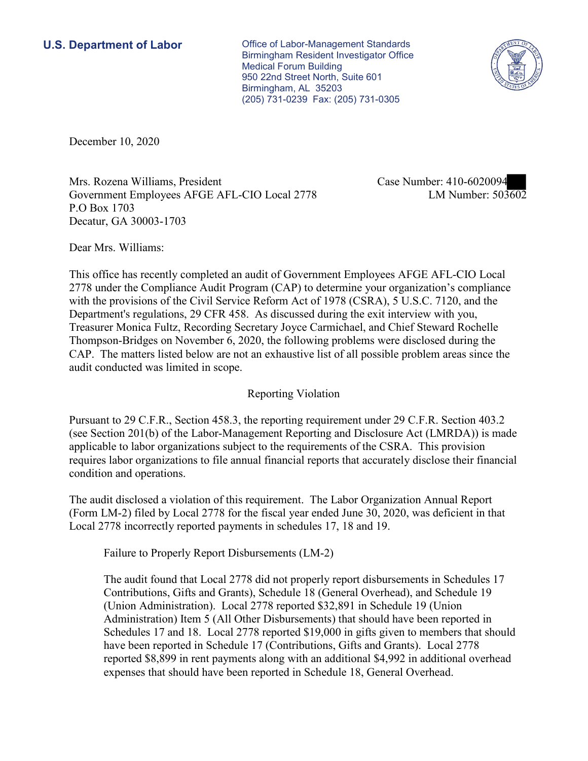**U.S. Department of Labor Conservative Conservative Conservative Conservative Conservative Conservative Conservative Conservative Conservative Conservative Conservative Conservative Conservative Conservative Conservative** Birmingham Resident Investigator Office Medical Forum Building 950 22nd Street North, Suite 601 Birmingham, AL 35203 (205) 731-0239 Fax: (205) 731-0305



December 10, 2020

Mrs. Rozena Williams, President Case Number: 410-6020094 Government Employees AFGE AFL-CIO Local 2778 LM Number: 503602 P.O Box 1703 Decatur, GA 30003-1703

Dear Mrs. Williams:

 This office has recently completed an audit of Government Employees AFGE AFL-CIO Local 2778 under the Compliance Audit Program (CAP) to determine your organization's compliance with the provisions of the Civil Service Reform Act of 1978 (CSRA), 5 U.S.C. 7120, and the Department's regulations, 29 CFR 458. As discussed during the exit interview with you, Treasurer Monica Fultz, Recording Secretary Joyce Carmichael, and Chief Steward Rochelle Thompson-Bridges on November 6, 2020, the following problems were disclosed during the CAP. The matters listed below are not an exhaustive list of all possible problem areas since the audit conducted was limited in scope.

## Reporting Violation

condition and operations. Pursuant to 29 C.F.R., Section 458.3, the reporting requirement under 29 C.F.R. Section 403.2 (see Section 201(b) of the Labor-Management Reporting and Disclosure Act (LMRDA)) is made applicable to labor organizations subject to the requirements of the CSRA. This provision requires labor organizations to file annual financial reports that accurately disclose their financial

condition and operations.<br>The audit disclosed a violation of this requirement. The Labor Organization Annual Report (Form LM-2) filed by Local 2778 for the fiscal year ended June 30, 2020, was deficient in that Local 2778 incorrectly reported payments in schedules 17, 18 and 19.

Failure to Properly Report Disbursements (LM-2)

The audit found that Local 2778 did not properly report disbursements in Schedules 17 Contributions, Gifts and Grants), Schedule 18 (General Overhead), and Schedule 19 (Union Administration). Local 2778 reported \$32,891 in Schedule 19 (Union Administration) Item 5 (All Other Disbursements) that should have been reported in Schedules 17 and 18. Local 2778 reported \$19,000 in gifts given to members that should have been reported in Schedule 17 (Contributions, Gifts and Grants). Local 2778 reported \$8,899 in rent payments along with an additional \$4,992 in additional overhead expenses that should have been reported in Schedule 18, General Overhead.